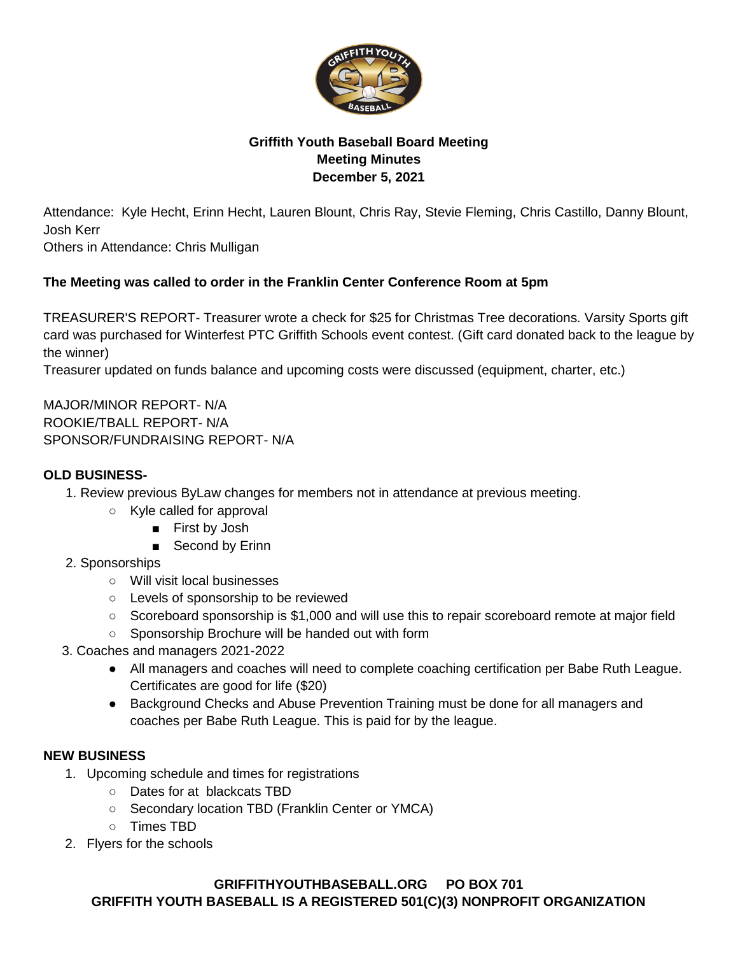

## **Griffith Youth Baseball Board Meeting Meeting Minutes December 5, 2021**

Attendance: Kyle Hecht, Erinn Hecht, Lauren Blount, Chris Ray, Stevie Fleming, Chris Castillo, Danny Blount, Josh Kerr

Others in Attendance: Chris Mulligan

## **The Meeting was called to order in the Franklin Center Conference Room at 5pm**

TREASURER'S REPORT- Treasurer wrote a check for \$25 for Christmas Tree decorations. Varsity Sports gift card was purchased for Winterfest PTC Griffith Schools event contest. (Gift card donated back to the league by the winner)

Treasurer updated on funds balance and upcoming costs were discussed (equipment, charter, etc.)

MAJOR/MINOR REPORT- N/A ROOKIE/TBALL REPORT- N/A SPONSOR/FUNDRAISING REPORT- N/A

## **OLD BUSINESS-**

- 1. Review previous ByLaw changes for members not in attendance at previous meeting.
	- Kyle called for approval
		- First by Josh
		- Second by Erinn
- 2. Sponsorships
	- Will visit local businesses
	- Levels of sponsorship to be reviewed
	- Scoreboard sponsorship is \$1,000 and will use this to repair scoreboard remote at major field
	- Sponsorship Brochure will be handed out with form
- 3. Coaches and managers 2021-2022
	- All managers and coaches will need to complete coaching certification per Babe Ruth League. Certificates are good for life (\$20)
	- Background Checks and Abuse Prevention Training must be done for all managers and coaches per Babe Ruth League. This is paid for by the league.

## **NEW BUSINESS**

- 1. Upcoming schedule and times for registrations
	- Dates for at blackcats TBD
	- Secondary location TBD (Franklin Center or YMCA)
	- Times TBD
- 2. Flyers for the schools